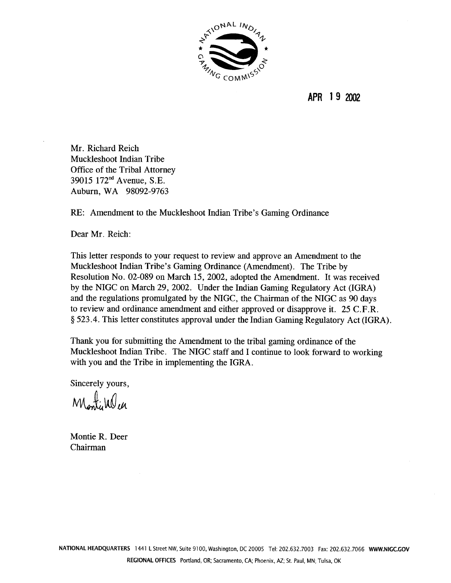

APR 19 2002

Mr. Richard Reich Muckleshoot Indian Tribe Office of the Tribal Attorney 39015 172<sup>nd</sup> Avenue, S.E. Auburn, WA 98092-9763

RE: Amendment to the Muckleshoot Indian Tribe's Gaming Ordinance

Dear Mr. Reich:

This letter responds to your request to review and approve an Amendment to the Muckleshoot Indian Tribe's Gaming Ordinance (Amendment). The Tribe by Resolution No. 02-089 on March 15, 2002, adopted the Amendment. It was received by the NIGC on March 29, 2002. Under the Indian Gaming Regulatory Act (IGRA) and the regulations promulgated by the NIGC, the Chairman of the NIGC as 90 days to review and ordinance amendment and either approved or disapprove it. 25 C.F.R. § 523.4. This letter constitutes approval under the Indian Gaming Regulatory Act (IGRA).

Thank you for submitting the Amendment to the tribal gaming ordinance of the Muckleshoot Indian Tribe. The NIGC staff and I continue to look forward to working with you and the Tribe in implementing the IGRA.

Sincerely yours,

Montilalen

Montie R. Deer Chairman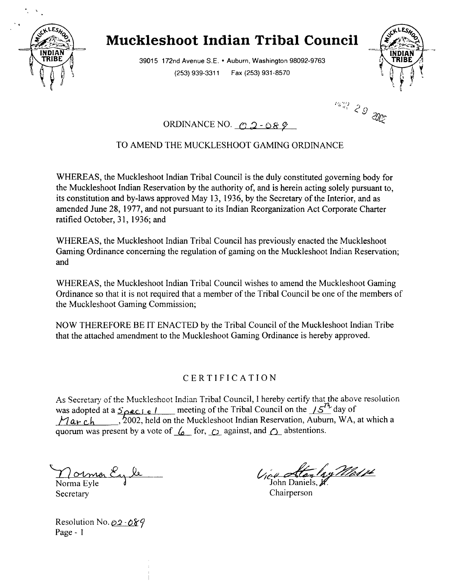

# **Muckleshoot Indian Tribal Council**

**39015 172nd Avenue S.E. Auburn. Washington 98092-9763 (253) 939-3311 Fax (253) 931-8570**



*Panis 29* 

## ORDINANCE NO.  $\alpha$  2 - 0  $\beta$  9

### **TO AMEND THE MUCKLESHOOT GAMING ORDINANCE**

**WHEREAS, the Muckleshoot Indian Tribal Council is the duly constituted governing body for the Muckleshoot Indian Reservation by the authority of, and is herein acting solely pursuant to, its constitution and by-laws approved May 13, 1936, by the Secretary of the Interior, and as amended June 28, 1977, and not pursuant to its Indian Reorganization Act Corporate Charter ratified October, 31, 1936; and**

**WHEREAS, the Muckleshoot Indian Tribal Council has previously enacted the Muckleshoot Gaming Ordinance concerning the regulation of gaming on the Muckleshoot Indian Reservation; and**

**WHEREAS, the Muckleshoot Indian Tribal Council wishes to amend the Muckleshoot Gaming** Ordinance so that it is not required that a member of the Tribal Council be one of the members of **the Muckleshoot Gaming Commission;**

**NOW THEREFORE BE IT ENACTED by the Tribal Council of the Muckleshoot Indian Tribe that the attached amendment to the Muckleshoot Gaming Ordinance is hereby approved.**

### **CERTIFICATION**

As Secretary of the Muckleshoot Indian Tribal Council, I hereby certify that the above resolution was adopted at a  $\frac{3}{2}$ **e**  $\frac{1}{5}$  **c h a**  $\frac{1}{2}$  **c h**  $\frac{1}{2}$   $\frac{3}{2}$  **c**  $\frac{1}{2}$  **c**  $\frac{1}{2}$  **c**  $\frac{1}{2}$  **c**  $\frac{1}{2}$  **c**  $\frac{1}{2}$  **c**  $\frac{1}{2}$  **c**  $\frac{1}{2}$  **c**  $\frac{1}{2}$  **c**  $\frac{1}{2}$  **c <sup>11</sup> a~ ~ , ~OO2, held on the Muckleshoot Indian Reservation, Auburn, WA, at which <sup>a</sup> quorum** was present by a vote of  $\mathcal{L}$  for,  $\mathcal{L}$  against, and  $\mathcal{L}$  abstentions.

 $\gamma$ ormor En le **Norma Eyle Secretary**

**John Daniels,**

**Chairperson**

**Resolution No. ~ Page -**